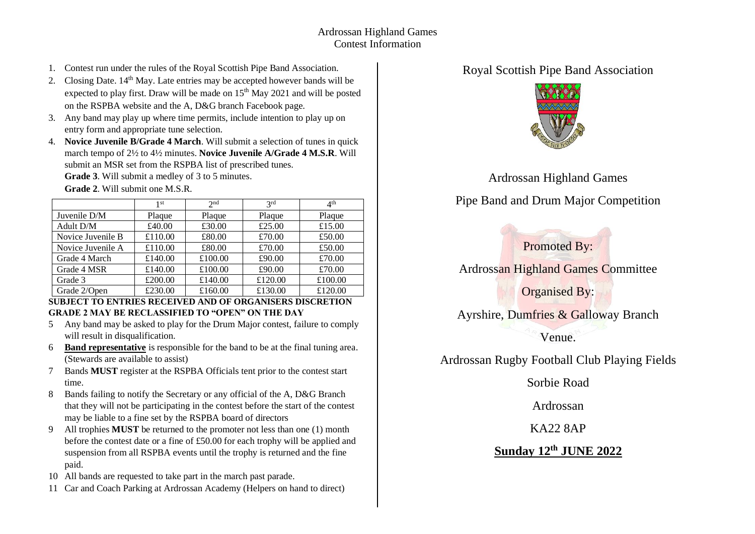- 1. Contest run under the rules of the Royal Scottish Pipe Band Association.
- 2. Closing Date.  $14<sup>th</sup>$  May. Late entries may be accepted however bands will be expected to play first. Draw will be made on  $15<sup>th</sup>$  May 2021 and will be posted on the RSPBA website and the A, D&G branch Facebook page.
- 3. Any band may play up where time permits, include intention to play up on entry form and appropriate tune selection.
- 4. **Novice Juvenile B/Grade 4 March**. Will submit a selection of tunes in quick march tempo of 2½ to 4½ minutes. **Novice Juvenile A/Grade 4 M.S.R**. Will submit an MSR set from the RSPBA list of prescribed tunes.

**Grade 3**. Will submit a medley of 3 to 5 minutes.

**Grade 2**. Will submit one M.S.R.

|                   | 1st     | 2 <sub>nd</sub> | 2rd     | 4 <sup>th</sup> |
|-------------------|---------|-----------------|---------|-----------------|
| Juvenile D/M      | Plaque  | Plaque          | Plaque  | Plaque          |
| Adult D/M         | £40.00  | £30.00          | £25.00  | £15.00          |
| Novice Juvenile B | £110.00 | £80.00          | £70.00  | £50.00          |
| Novice Juvenile A | £110.00 | £80.00          | £70.00  | £50.00          |
| Grade 4 March     | £140.00 | £100.00         | £90.00  | £70.00          |
| Grade 4 MSR       | £140.00 | £100.00         | £90.00  | £70.00          |
| Grade 3           | £200.00 | £140.00         | £120.00 | £100.00         |
| Grade 2/Open      | £230.00 | £160.00         | £130.00 | £120.00         |

#### **SUBJECT TO ENTRIES RECEIVED AND OF ORGANISERS DISCRETION GRADE 2 MAY BE RECLASSIFIED TO "OPEN" ON THE DAY**

- 5 Any band may be asked to play for the Drum Major contest, failure to comply will result in disqualification.
- 6 **Band representative** is responsible for the band to be at the final tuning area. (Stewards are available to assist)
- 7 Bands **MUST** register at the RSPBA Officials tent prior to the contest start time.
- 8 Bands failing to notify the Secretary or any official of the A, D&G Branch that they will not be participating in the contest before the start of the contest may be liable to a fine set by the RSPBA board of directors
- 9 All trophies **MUST** be returned to the promoter not less than one (1) month before the contest date or a fine of £50.00 for each trophy will be applied and suspension from all RSPBA events until the trophy is returned and the fine paid.
- 10 All bands are requested to take part in the march past parade.
- 11 Car and Coach Parking at Ardrossan Academy (Helpers on hand to direct)

### Royal Scottish Pipe Band Association



Ardrossan Highland Games

# Pipe Band and Drum Major Competition

## Promoted By:

Ardrossan Highland Games Committee

Organised By:

Ayrshire, Dumfries & Galloway Branch

Venue.

Ardrossan Rugby Football Club Playing Fields

Sorbie Road

Ardrossan

KA22 8AP

#### **Sunday 12 th JUNE 2022**